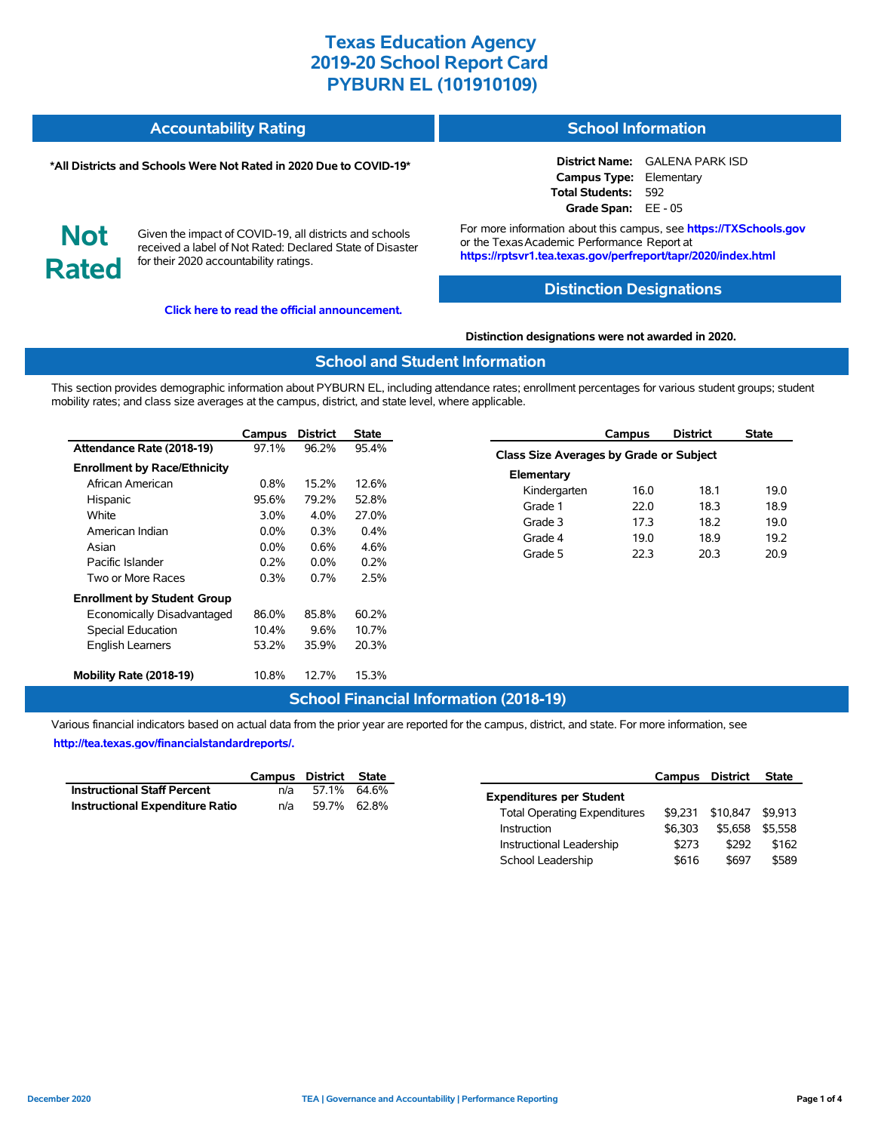#### **Accountability Rating School Information**

#### **\*All Districts and Schools Were Not Rated in 2020 Due to COVID-19\***

**District Name:** GALENA PARK ISD **Campus Type:** Elementary **Total Students:** 592 **Grade Span:** EE - 05

**Not Rated**

Given the impact of COVID-19, all districts and schools received a label of Not Rated: Declared State of Disaster for their 2020 accountability ratings.

**[Click here to read the official announcement.](https://tea.texas.gov/about-tea/news-and-multimedia/correspondence/taa-letters/every-student-succeeds-act-essa-waiver-approval-2020-state-academic-accountability)**

For more information about this campus, see **https://TXSchools.gov** or the Texas Academic Performance Report at **https://rptsvr1.tea.texas.gov/perfreport/tapr/2020/index.html**

### **Distinction Designations**

#### **Distinction designations were not awarded in 2020.**

#### **School and Student Information**

This section provides demographic information about PYBURN EL, including attendance rates; enrollment percentages for various student groups; student mobility rates; and class size averages at the campus, district, and state level, where applicable.

|                                     | Campus  | <b>District</b> | State   |
|-------------------------------------|---------|-----------------|---------|
| Attendance Rate (2018-19)           | 97.1%   | 96.2%           | 95.4%   |
| <b>Enrollment by Race/Ethnicity</b> |         |                 |         |
| African American                    | 0.8%    | 15.2%           | 12.6%   |
| Hispanic                            | 95.6%   | 79.2%           | 52.8%   |
| White                               | $3.0\%$ | $4.0\%$         | 27.0%   |
| American Indian                     | $0.0\%$ | 0.3%            | $0.4\%$ |
| Asian                               | $0.0\%$ | $0.6\%$         | 4.6%    |
| Pacific Islander                    | $0.2\%$ | $0.0\%$         | $0.2\%$ |
| Two or More Races                   | 0.3%    | $0.7\%$         | 2.5%    |
| <b>Enrollment by Student Group</b>  |         |                 |         |
| Economically Disadvantaged          | 86.0%   | 85.8%           | 60.2%   |
| <b>Special Education</b>            | 10.4%   | 9.6%            | 10.7%   |
| <b>English Learners</b>             | 53.2%   | 35.9%           | 20.3%   |
| Mobility Rate (2018-19)             | 10.8%   | 12.7%           | 15.3%   |

|                                                | Campus | <b>District</b> | <b>State</b> |  |  |  |  |  |
|------------------------------------------------|--------|-----------------|--------------|--|--|--|--|--|
| <b>Class Size Averages by Grade or Subject</b> |        |                 |              |  |  |  |  |  |
| Elementary                                     |        |                 |              |  |  |  |  |  |
| Kindergarten                                   | 16.0   | 18.1            | 19.0         |  |  |  |  |  |
| Grade 1                                        | 22.0   | 18.3            | 18.9         |  |  |  |  |  |
| Grade 3                                        | 17.3   | 18.2            | 19.0         |  |  |  |  |  |
| Grade 4                                        | 19.0   | 18.9            | 19.2         |  |  |  |  |  |
| Grade 5                                        | 22.3   | 20.3            | 20.9         |  |  |  |  |  |
|                                                |        |                 |              |  |  |  |  |  |

### **School Financial Information (2018-19)**

Various financial indicators based on actual data from the prior year are reported for the campus, district, and state. For more information, see **[http://tea.texas.gov/financialstandardreports/.](http://tea.texas.gov/financialstandardreports/)**

|                                        | Campus District State |             |  |
|----------------------------------------|-----------------------|-------------|--|
| <b>Instructional Staff Percent</b>     | n/a                   | 57.1% 64.6% |  |
| <b>Instructional Expenditure Ratio</b> | n/a                   | 59.7% 62.8% |  |

|                                     | Campus District |          | <b>State</b> |
|-------------------------------------|-----------------|----------|--------------|
| <b>Expenditures per Student</b>     |                 |          |              |
| <b>Total Operating Expenditures</b> | \$9.231         | \$10.847 | \$9.913      |
| Instruction                         | \$6.303         | \$5.658  | \$5.558      |
| Instructional Leadership            | \$273           | \$292    | \$162        |
| School Leadership                   | \$616           | \$697    | \$589        |

Ĭ.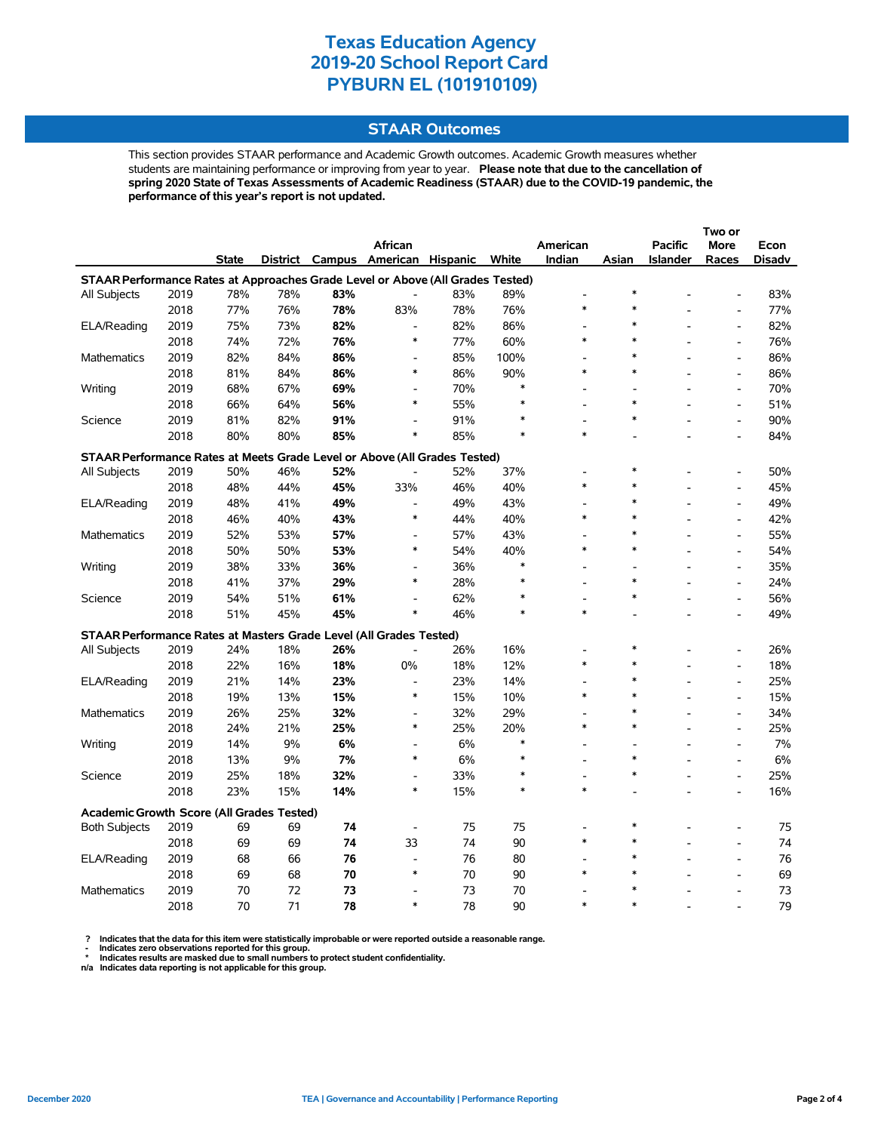### **STAAR Outcomes**

This section provides STAAR performance and Academic Growth outcomes. Academic Growth measures whether students are maintaining performance or improving from year to year. **Please note that due to the cancellation of spring 2020 State of Texas Assessments of Academic Readiness (STAAR) due to the COVID-19 pandemic, the performance of this year's report is not updated.**

|                                                                                |      |              |     |     |                                         |     |        |          |                          |                | Two or                       |        |
|--------------------------------------------------------------------------------|------|--------------|-----|-----|-----------------------------------------|-----|--------|----------|--------------------------|----------------|------------------------------|--------|
|                                                                                |      |              |     |     | African                                 |     |        | American |                          | <b>Pacific</b> | <b>More</b>                  | Econ   |
|                                                                                |      | <b>State</b> |     |     | District Campus American Hispanic White |     |        | Indian   | Asian                    | Islander       | Races                        | Disadv |
| STAAR Performance Rates at Approaches Grade Level or Above (All Grades Tested) |      |              |     |     |                                         |     |        |          |                          |                |                              |        |
| All Subjects                                                                   | 2019 | 78%          | 78% | 83% | $\overline{\phantom{a}}$                | 83% | 89%    |          | $\ast$                   |                |                              | 83%    |
|                                                                                | 2018 | 77%          | 76% | 78% | 83%                                     | 78% | 76%    | $\ast$   |                          |                | $\qquad \qquad \blacksquare$ | 77%    |
| ELA/Reading                                                                    | 2019 | 75%          | 73% | 82% | $\overline{\phantom{a}}$                | 82% | 86%    |          | $\ast$                   |                | $\overline{a}$               | 82%    |
|                                                                                | 2018 | 74%          | 72% | 76% | $\ast$                                  | 77% | 60%    | *        | $\ast$                   |                | $\overline{a}$               | 76%    |
| Mathematics                                                                    | 2019 | 82%          | 84% | 86% | $\blacksquare$                          | 85% | 100%   |          | $\ast$                   |                | $\overline{a}$               | 86%    |
|                                                                                | 2018 | 81%          | 84% | 86% | ∗                                       | 86% | 90%    | *        | $\ast$                   |                | $\overline{a}$               | 86%    |
| Writing                                                                        | 2019 | 68%          | 67% | 69% | $\overline{a}$                          | 70% | $\ast$ |          |                          |                | $\overline{a}$               | 70%    |
|                                                                                | 2018 | 66%          | 64% | 56% | $\ast$                                  | 55% | $\ast$ |          | $\ast$                   |                | $\overline{a}$               | 51%    |
| Science                                                                        | 2019 | 81%          | 82% | 91% | $\overline{\phantom{a}}$                | 91% |        | L,       |                          |                | $\qquad \qquad \blacksquare$ | 90%    |
|                                                                                | 2018 | 80%          | 80% | 85% | $\ast$                                  | 85% |        | $\ast$   |                          |                |                              | 84%    |
| STAAR Performance Rates at Meets Grade Level or Above (All Grades Tested)      |      |              |     |     |                                         |     |        |          |                          |                |                              |        |
| All Subjects                                                                   | 2019 | 50%          | 46% | 52% |                                         | 52% | 37%    |          | $\ast$                   |                | $\overline{a}$               | 50%    |
|                                                                                | 2018 | 48%          | 44% | 45% | 33%                                     | 46% | 40%    | $\ast$   | $\ast$                   |                | $\overline{a}$               | 45%    |
| ELA/Reading                                                                    | 2019 | 48%          | 41% | 49% | $\overline{\phantom{a}}$                | 49% | 43%    |          | $\ast$                   |                | $\overline{a}$               | 49%    |
|                                                                                | 2018 | 46%          | 40% | 43% | $\ast$                                  | 44% | 40%    | $\ast$   | $\ast$                   |                | L,                           | 42%    |
| Mathematics                                                                    | 2019 | 52%          | 53% | 57% | $\overline{a}$                          | 57% | 43%    |          | $\ast$                   |                | $\overline{a}$               | 55%    |
|                                                                                | 2018 | 50%          | 50% | 53% | $\ast$                                  | 54% | 40%    | $\ast$   | $\ast$                   |                | $\overline{\phantom{a}}$     | 54%    |
| Writing                                                                        | 2019 | 38%          | 33% | 36% | $\overline{\phantom{a}}$                | 36% | $\ast$ |          |                          |                | $\overline{a}$               | 35%    |
|                                                                                | 2018 | 41%          | 37% | 29% | $\ast$                                  | 28% | $\ast$ |          | $\ast$                   |                | $\overline{a}$               | 24%    |
| Science                                                                        | 2019 | 54%          | 51% | 61% | $\overline{a}$                          | 62% | $\ast$ |          | $\ast$                   |                | $\overline{a}$               | 56%    |
|                                                                                | 2018 | 51%          | 45% | 45% | $\ast$                                  | 46% | $\ast$ | $\ast$   |                          |                | $\overline{a}$               | 49%    |
| <b>STAAR Performance Rates at Masters Grade Level (All Grades Tested)</b>      |      |              |     |     |                                         |     |        |          |                          |                |                              |        |
| All Subjects                                                                   | 2019 | 24%          | 18% | 26% |                                         | 26% | 16%    |          |                          |                | $\overline{a}$               | 26%    |
|                                                                                | 2018 | 22%          | 16% | 18% | 0%                                      | 18% | 12%    | $\ast$   | $\ast$                   |                | $\overline{a}$               | 18%    |
| ELA/Reading                                                                    | 2019 | 21%          | 14% | 23% | $\overline{\phantom{a}}$                | 23% | 14%    |          | $\ast$                   |                | $\overline{a}$               | 25%    |
|                                                                                | 2018 | 19%          | 13% | 15% | $\ast$                                  | 15% | 10%    | $\ast$   | $\ast$                   |                | $\overline{a}$               | 15%    |
| Mathematics                                                                    | 2019 | 26%          | 25% | 32% |                                         | 32% | 29%    |          | $\ast$                   |                | $\overline{a}$               | 34%    |
|                                                                                | 2018 | 24%          | 21% | 25% | ∗                                       | 25% | 20%    | $\ast$   | $\ast$                   |                | $\overline{a}$               | 25%    |
| Writing                                                                        | 2019 | 14%          | 9%  | 6%  | $\blacksquare$                          | 6%  | *      |          | $\overline{\phantom{a}}$ |                | $\overline{a}$               | 7%     |
|                                                                                | 2018 | 13%          | 9%  | 7%  | $\ast$                                  | 6%  |        |          | $\ast$                   |                | $\overline{a}$               | 6%     |
| Science                                                                        | 2019 | 25%          | 18% | 32% | $\overline{\phantom{a}}$                | 33% | $\ast$ | L.       | $\ast$                   |                | $\overline{\phantom{a}}$     | 25%    |
|                                                                                | 2018 | 23%          | 15% | 14% | $\ast$                                  | 15% | *      | $\ast$   |                          |                | $\overline{a}$               | 16%    |
| Academic Growth Score (All Grades Tested)                                      |      |              |     |     |                                         |     |        |          |                          |                |                              |        |
| <b>Both Subjects</b>                                                           | 2019 | 69           | 69  | 74  | $\overline{\phantom{a}}$                | 75  | 75     |          | $\ast$                   |                |                              | 75     |
|                                                                                | 2018 | 69           | 69  | 74  | 33                                      | 74  | 90     | *        |                          |                | $\overline{a}$               | 74     |
| ELA/Reading                                                                    | 2019 | 68           | 66  | 76  | $\blacksquare$                          | 76  | 80     |          | $\ast$                   |                | L.                           | 76     |
|                                                                                | 2018 | 69           | 68  | 70  | $\ast$                                  | 70  | 90     | $\ast$   | $\ast$                   |                |                              | 69     |
| Mathematics                                                                    | 2019 | 70           | 72  | 73  | $\overline{\phantom{a}}$                | 73  | 70     |          |                          |                |                              | 73     |
|                                                                                | 2018 | 70           | 71  | 78  | $\ast$                                  | 78  | 90     | $\ast$   |                          |                |                              | 79     |

? Indicates that the data for this item were statistically improbable or were reported outside a reasonable range.<br>- Indicates zero observations reported for this group.<br>\* Indicates results are masked due to small numbers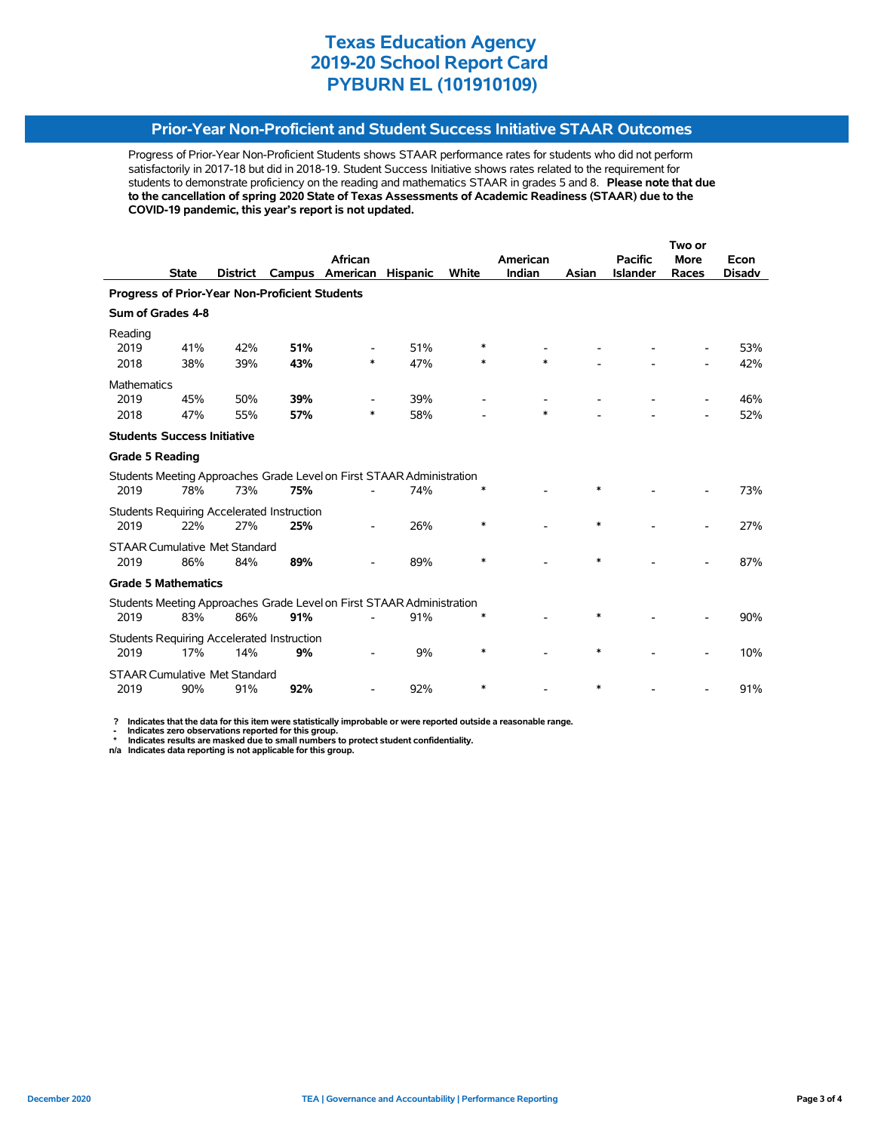### **Prior-Year Non-Proficient and Student Success Initiative STAAR Outcomes**

Progress of Prior-Year Non-Proficient Students shows STAAR performance rates for students who did not perform satisfactorily in 2017-18 but did in 2018-19. Student Success Initiative shows rates related to the requirement for students to demonstrate proficiency on the reading and mathematics STAAR in grades 5 and 8. **Please note that due to the cancellation of spring 2020 State of Texas Assessments of Academic Readiness (STAAR) due to the COVID-19 pandemic, this year's report is not updated.**

|                            |              |                                                       |                                                                                        |                                                                                                                                                               |                 | Two or                                                                                                                                                  |        |                |                 |               |
|----------------------------|--------------|-------------------------------------------------------|----------------------------------------------------------------------------------------|---------------------------------------------------------------------------------------------------------------------------------------------------------------|-----------------|---------------------------------------------------------------------------------------------------------------------------------------------------------|--------|----------------|-----------------|---------------|
|                            |              |                                                       | African                                                                                |                                                                                                                                                               |                 | American                                                                                                                                                |        | <b>Pacific</b> | <b>More</b>     | Econ          |
|                            |              |                                                       |                                                                                        |                                                                                                                                                               |                 |                                                                                                                                                         |        |                |                 | <b>Disadv</b> |
|                            |              |                                                       |                                                                                        |                                                                                                                                                               |                 |                                                                                                                                                         |        |                |                 |               |
| Sum of Grades 4-8          |              |                                                       |                                                                                        |                                                                                                                                                               |                 |                                                                                                                                                         |        |                |                 |               |
|                            |              |                                                       |                                                                                        |                                                                                                                                                               |                 |                                                                                                                                                         |        |                |                 |               |
| 41%                        | 42%          | 51%                                                   |                                                                                        | 51%                                                                                                                                                           |                 |                                                                                                                                                         |        |                |                 | 53%           |
| 38%                        | 39%          | 43%                                                   | $\ast$                                                                                 | 47%                                                                                                                                                           | $\ast$          | $\ast$                                                                                                                                                  |        |                |                 | 42%           |
| Mathematics                |              |                                                       |                                                                                        |                                                                                                                                                               |                 |                                                                                                                                                         |        |                |                 |               |
| 45%                        | 50%          | 39%                                                   |                                                                                        | 39%                                                                                                                                                           |                 |                                                                                                                                                         |        |                |                 | 46%           |
| 47%                        | 55%          | 57%                                                   | *                                                                                      | 58%                                                                                                                                                           |                 | *                                                                                                                                                       |        |                |                 | 52%           |
|                            |              |                                                       |                                                                                        |                                                                                                                                                               |                 |                                                                                                                                                         |        |                |                 |               |
| <b>Grade 5 Reading</b>     |              |                                                       |                                                                                        |                                                                                                                                                               |                 |                                                                                                                                                         |        |                |                 |               |
|                            |              |                                                       |                                                                                        |                                                                                                                                                               |                 |                                                                                                                                                         |        |                |                 |               |
| 78%                        | 73%          | 75%                                                   |                                                                                        | 74%                                                                                                                                                           |                 |                                                                                                                                                         | $\ast$ |                |                 | 73%           |
|                            |              |                                                       |                                                                                        |                                                                                                                                                               |                 |                                                                                                                                                         |        |                |                 |               |
| 22%                        | 27%          | 25%                                                   |                                                                                        | 26%                                                                                                                                                           | $\ast$          |                                                                                                                                                         | $\ast$ |                |                 | 27%           |
|                            |              |                                                       |                                                                                        |                                                                                                                                                               |                 |                                                                                                                                                         |        |                |                 |               |
| 86%                        | 84%          | 89%                                                   |                                                                                        | 89%                                                                                                                                                           | *               |                                                                                                                                                         | $\ast$ |                |                 | 87%           |
| <b>Grade 5 Mathematics</b> |              |                                                       |                                                                                        |                                                                                                                                                               |                 |                                                                                                                                                         |        |                |                 |               |
|                            |              |                                                       |                                                                                        |                                                                                                                                                               |                 |                                                                                                                                                         |        |                |                 |               |
| 83%                        | 86%          | 91%                                                   |                                                                                        | 91%                                                                                                                                                           |                 |                                                                                                                                                         | *      |                |                 | 90%           |
|                            |              |                                                       |                                                                                        |                                                                                                                                                               |                 |                                                                                                                                                         |        |                |                 |               |
| 17%                        | 14%          | 9%                                                    |                                                                                        | 9%                                                                                                                                                            | *               |                                                                                                                                                         | $\ast$ |                |                 | 10%           |
|                            |              |                                                       |                                                                                        |                                                                                                                                                               |                 |                                                                                                                                                         |        |                |                 |               |
| 90%                        | 91%          | 92%                                                   |                                                                                        | 92%                                                                                                                                                           | *               |                                                                                                                                                         | $\ast$ |                |                 | 91%           |
|                            | <b>State</b> | <b>District</b><br><b>Students Success Initiative</b> | Campus<br><b>STAAR Cumulative Met Standard</b><br><b>STAAR Cumulative Met Standard</b> | American<br>Progress of Prior-Year Non-Proficient Students<br>Students Requiring Accelerated Instruction<br><b>Students Requiring Accelerated Instruction</b> | <b>Hispanic</b> | White<br>Students Meeting Approaches Grade Level on First STAAR Administration<br>Students Meeting Approaches Grade Level on First STAAR Administration | Indian | Asian          | <b>Islander</b> | Races         |

 **? Indicates that the data for this item were statistically improbable or were reported outside a reasonable range.**

 **- Indicates zero observations reported for this group. \* Indicates results are masked due to small numbers to protect student confidentiality.**

**n/a Indicates data reporting is not applicable for this group.**